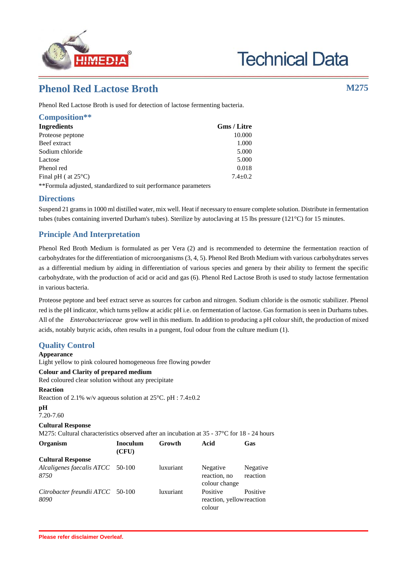

# **Technical Data**

# **Phenol Red Lactose Broth M275**

Phenol Red Lactose Broth is used for detection of lactose fermenting bacteria.

| Composition**                 |             |
|-------------------------------|-------------|
| <b>Ingredients</b>            | Gms / Litre |
| Proteose peptone              | 10.000      |
| Beef extract                  | 1.000       |
| Sodium chloride               | 5.000       |
| Lactose                       | 5.000       |
| Phenol red                    | 0.018       |
| Final pH ( at $25^{\circ}$ C) | $7.4 + 0.2$ |
|                               |             |

\*\*Formula adjusted, standardized to suit performance parameters

### **Directions**

Suspend 21 grams in 1000 ml distilled water, mix well. Heat if necessary to ensure complete solution. Distribute in fermentation tubes (tubes containing inverted Durham's tubes). Sterilize by autoclaving at 15 lbs pressure (121°C) for 15 minutes.

# **Principle And Interpretation**

Phenol Red Broth Medium is formulated as per Vera (2) and is recommended to determine the fermentation reaction of carbohydrates for the differentiation of microorganisms (3, 4, 5). Phenol Red Broth Medium with various carbohydrates serves as a differential medium by aiding in differentiation of various species and genera by their ability to ferment the specific carbohydrate, with the production of acid or acid and gas (6). Phenol Red Lactose Broth is used to study lactose fermentation in various bacteria.

Proteose peptone and beef extract serve as sources for carbon and nitrogen. Sodium chloride is the osmotic stabilizer. Phenol red is the pH indicator, which turns yellow at acidic pH i.e. on fermentation of lactose. Gas formation is seen in Durhams tubes. All of the *Enterobacteriaceae* grow well in this medium. In addition to producing a pH colour shift, the production of mixed acids, notably butyric acids, often results in a pungent, foul odour from the culture medium (1).

# **Quality Control**

#### **Appearance**

Light yellow to pink coloured homogeneous free flowing powder

#### **Colour and Clarity of prepared medium**

Red coloured clear solution without any precipitate

#### **Reaction**

Reaction of 2.1% w/v aqueous solution at 25°C. pH : 7.4±0.2

**pH**

```
7.20-7.60
```
# **Cultural Response**

M275: Cultural characteristics observed after an incubation at 35 - 37°C for 18 - 24 hours

| Organism                                 | <b>Inoculum</b><br>(CFU) | Growth    | Acid                                           | Gas                  |
|------------------------------------------|--------------------------|-----------|------------------------------------------------|----------------------|
| <b>Cultural Response</b>                 |                          |           |                                                |                      |
| Alcaligenes faecalis ATCC 50-100<br>8750 |                          | luxuriant | Negative<br>reaction, no<br>colour change      | Negative<br>reaction |
| Citrobacter freundii ATCC 50-100<br>8090 |                          | luxuriant | Positive<br>reaction, yellowreaction<br>colour | Positive             |